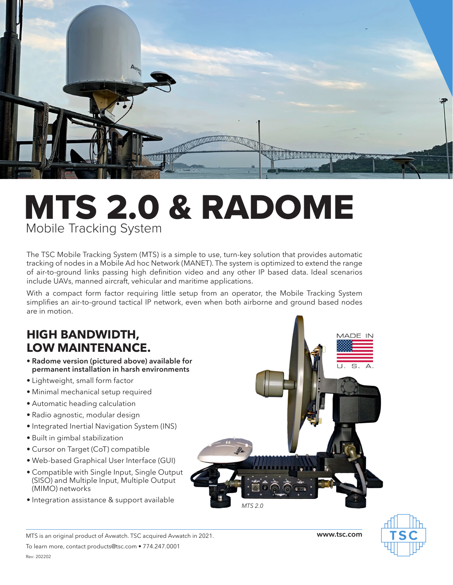

## MTS 2.0 & RADOME Mobile Tracking System

The TSC Mobile Tracking System (MTS) is a simple to use, turn-key solution that provides automatic tracking of nodes in a Mobile Ad hoc Network (MANET). The system is optimized to extend the range of air-to-ground links passing high definition video and any other IP based data. Ideal scenarios include UAVs, manned aircraft, vehicular and maritime applications.

With a compact form factor requiring little setup from an operator, the Mobile Tracking System simplifies an air-to-ground tactical IP network, even when both airborne and ground based nodes are in motion.

## **HIGH BANDWIDTH, LOW MAINTENANCE.**

- **• Radome version (pictured above) available for permanent installation in harsh environments**
- Lightweight, small form factor
- Minimal mechanical setup required
- Automatic heading calculation
- Radio agnostic, modular design
- Integrated Inertial Navigation System (INS)
- Built in gimbal stabilization
- Cursor on Target (CoT) compatible
- Web-based Graphical User Interface (GUI)
- Compatible with Single Input, Single Output (SISO) and Multiple Input, Multiple Output (MIMO) networks
- Integration assistance & support available

To learn more, contact products@tsc.com • 774.247.0001



MTS is an original product of Avwatch. TSC acquired Avwatch in 2021. **www.tsc.com**